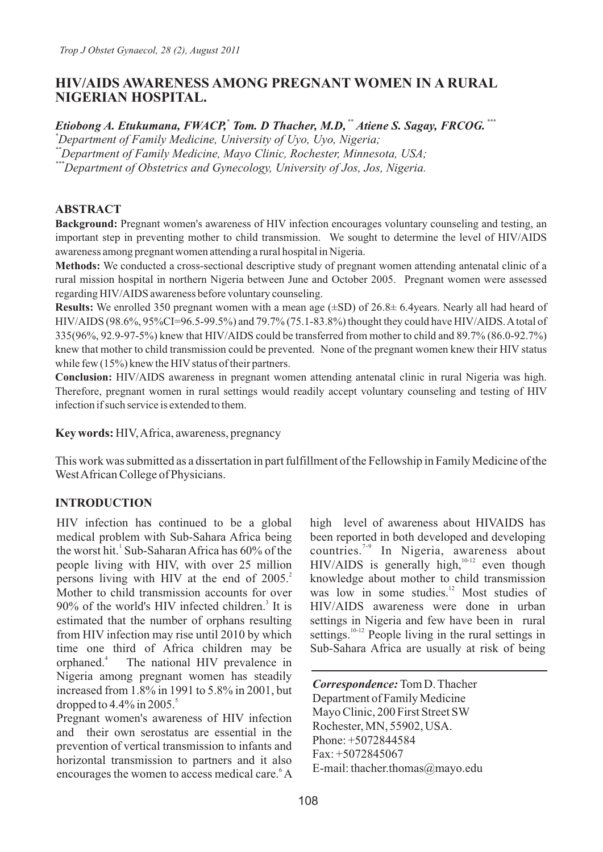# **HIV/AIDS AWARENESS AMONG PREGNANT WOMEN IN A RURAL NIGERIAN HOSPITAL.**

*Etiobong A. Etukumana, FWACP, Tom. D Thacher, M.D, "Atiene S. Sagay, FRCOG.* ""

*\*Department of Family Medicine, University of Uyo, Uyo, Nigeria;*

*\*\*Department of Family Medicine, Mayo Clinic, Rochester, Minnesota, USA;*

*\*\*\*Department of Obstetrics and Gynecology, University of Jos, Jos, Nigeria.*

# **ABSTRACT**

**Background:** Pregnant women's awareness of HIV infection encourages voluntary counseling and testing, an important step in preventing mother to child transmission. We sought to determine the level of HIV/AIDS awareness among pregnant women attending a rural hospital in Nigeria.

**Methods:** We conducted a cross-sectional descriptive study of pregnant women attending antenatal clinic of a rural mission hospital in northern Nigeria between June and October 2005. Pregnant women were assessed regarding HIV/AIDS awareness before voluntary counseling.

**Results:** We enrolled 350 pregnant women with a mean age (±SD) of 26.8± 6.4years. Nearly all had heard of HIV/AIDS (98.6%, 95%CI=96.5-99.5%) and 79.7% (75.1-83.8%) thought they could have HIV/AIDS. Atotal of 335(96%, 92.9-97-5%) knew that HIV/AIDS could be transferred from mother to child and 89.7% (86.0-92.7%) knew that mother to child transmission could be prevented. None of the pregnant women knew their HIV status while few  $(15\%)$  knew the HIV status of their partners.

**Conclusion:** HIV/AIDS awareness in pregnant women attending antenatal clinic in rural Nigeria was high. Therefore, pregnant women in rural settings would readily accept voluntary counseling and testing of HIV infection if such service is extended to them.

**Key words:** HIV, Africa, awareness, pregnancy

This work was submitted as a dissertation in part fulfillment of the Fellowship in Family Medicine of the West African College of Physicians.

# **INTRODUCTION**

HIV infection has continued to be a global medical problem with Sub-Sahara Africa being the worst hit.<sup>1</sup> Sub-Saharan Africa has 60% of the people living with HIV, with over 25 million persons living with HIV at the end of 2005.<sup>2</sup> Mother to child transmission accounts for over 90% of the world's HIV infected children.<sup>3</sup> It is estimated that the number of orphans resulting from HIV infection may rise until 2010 by which time one third of Africa children may be orphaned.<sup>4</sup> The national HIV prevalence in Nigeria among pregnant women has steadily increased from 1.8% in 1991 to 5.8% in 2001, but dropped to 4.4% in 2005.<sup>5</sup>

Pregnant women's awareness of HIV infection and their own serostatus are essential in the prevention of vertical transmission to infants and horizontal transmission to partners and it also encourages the women to access medical care. A

high level of awareness about HIVAIDS has been reported in both developed and developing countries.<sup>7-9</sup> In Nigeria, awareness about  $HIV/ALDS$  is generally high,  $10-12$  even though knowledge about mother to child transmission was low in some studies. $\frac{12}{12}$  Most studies of HIV/AIDS awareness were done in urban settings in Nigeria and few have been in rural settings. $10-12$  People living in the rural settings in Sub-Sahara Africa are usually at risk of being

*Correspondence:* Tom D. Thacher Department of Family Medicine Mayo Clinic, 200 First Street SW Rochester, MN, 55902, USA. Phone: +5072844584 Fax: +5072845067 E-mail: thacher.thomas@mayo.edu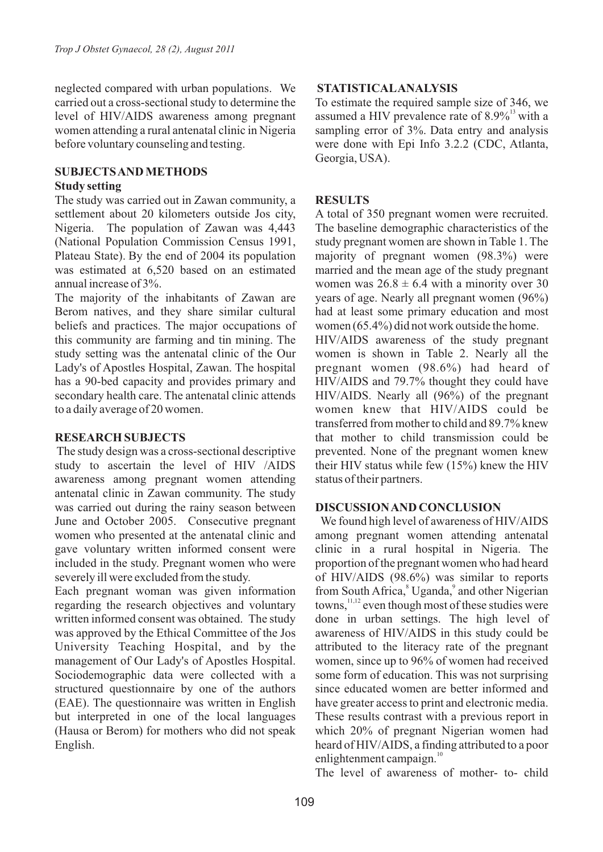neglected compared with urban populations. We carried out a cross-sectional study to determine the level of HIV/AIDS awareness among pregnant women attending a rural antenatal clinic in Nigeria before voluntary counseling and testing.

# **SUBJECTS AND METHODS**

### **Study setting**

The study was carried out in Zawan community, a settlement about 20 kilometers outside Jos city, Nigeria. The population of Zawan was 4,443 (National Population Commission Census 1991, Plateau State). By the end of 2004 its population was estimated at 6,520 based on an estimated annual increase of 3%.

The majority of the inhabitants of Zawan are Berom natives, and they share similar cultural beliefs and practices. The major occupations of this community are farming and tin mining. The study setting was the antenatal clinic of the Our Lady's of Apostles Hospital, Zawan. The hospital has a 90-bed capacity and provides primary and secondary health care. The antenatal clinic attends to a daily average of 20 women.

## **RESEARCH SUBJECTS**

The study design was a cross-sectional descriptive study to ascertain the level of HIV /AIDS awareness among pregnant women attending antenatal clinic in Zawan community. The study was carried out during the rainy season between June and October 2005. Consecutive pregnant women who presented at the antenatal clinic and gave voluntary written informed consent were included in the study. Pregnant women who were severely ill were excluded from the study.

Each pregnant woman was given information regarding the research objectives and voluntary written informed consent was obtained. The study was approved by the Ethical Committee of the Jos University Teaching Hospital, and by the management of Our Lady's of Apostles Hospital. Sociodemographic data were collected with a structured questionnaire by one of the authors (EAE). The questionnaire was written in English but interpreted in one of the local languages (Hausa or Berom) for mothers who did not speak English.

## **STATISTICALANALYSIS**

To estimate the required sample size of 346, we assumed a HIV prevalence rate of  $8.9\%$ <sup>13</sup> with a sampling error of 3%. Data entry and analysis were done with Epi Info 3.2.2 (CDC, Atlanta, Georgia, USA).

# **RESULTS**

A total of 350 pregnant women were recruited. The baseline demographic characteristics of the study pregnant women are shown in Table 1. The majority of pregnant women (98.3%) were married and the mean age of the study pregnant women was  $26.8 \pm 6.4$  with a minority over 30 years of age. Nearly all pregnant women (96%) had at least some primary education and most women (65.4%) did not work outside the home.

HIV/AIDS awareness of the study pregnant women is shown in Table 2. Nearly all the pregnant women (98.6%) had heard of HIV/AIDS and 79.7% thought they could have HIV/AIDS. Nearly all (96%) of the pregnant women knew that HIV/AIDS could be transferred from mother to child and 89.7% knew that mother to child transmission could be prevented. None of the pregnant women knew their HIV status while few (15%) knew the HIV status of their partners.

## **DISCUSSION AND CONCLUSION**

We found high level of awareness of HIV/AIDS among pregnant women attending antenatal clinic in a rural hospital in Nigeria. The proportion of the pregnant women who had heard of HIV/AIDS (98.6%) was similar to reports from South Africa, <sup>8</sup> Uganda, <sup>9</sup> and other Nigerian towns,  $\frac{11,12}{1}$  even though most of these studies were done in urban settings. The high level of awareness of HIV/AIDS in this study could be attributed to the literacy rate of the pregnant women, since up to 96% of women had received some form of education. This was not surprising since educated women are better informed and have greater access to print and electronic media. These results contrast with a previous report in which 20% of pregnant Nigerian women had heard of HIV/AIDS, a finding attributed to a poor enlightenment campaign. $10$ 

The level of awareness of mother- to- child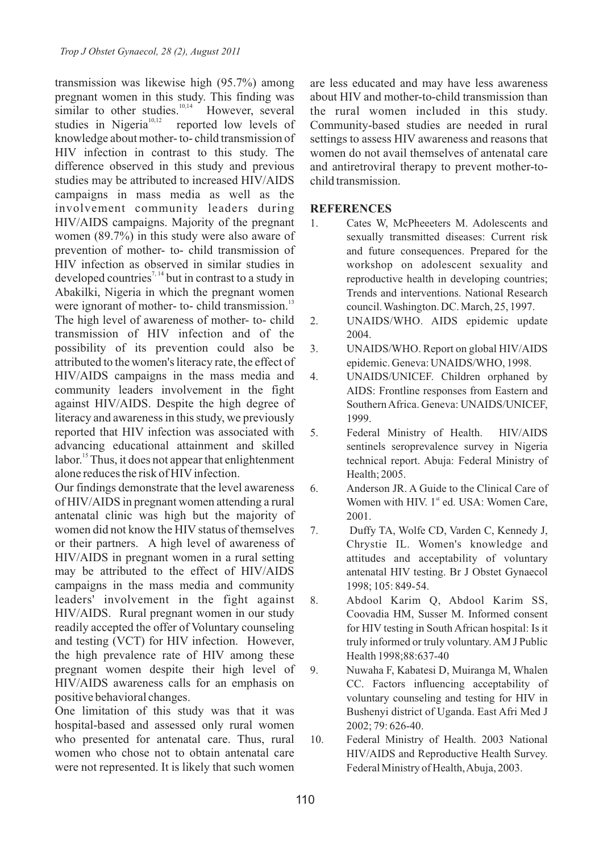transmission was likewise high (95.7%) among pregnant women in this study. This finding was similar to other studies.<sup>10,14</sup> However, several studies in Nigeria<sup>10,12</sup> reported low levels of reported low levels of knowledge about mother- to- child transmission of HIV infection in contrast to this study. The difference observed in this study and previous studies may be attributed to increased HIV/AIDS campaigns in mass media as well as the involvement community leaders during HIV/AIDS campaigns. Majority of the pregnant women (89.7%) in this study were also aware of prevention of mother- to- child transmission of HIV infection as observed in similar studies in developed countries<sup> $7, 14$ </sup> but in contrast to a study in Abakilki, Nigeria in which the pregnant women were ignorant of mother- to- child transmission. $^{13}$ The high level of awareness of mother- to- child transmission of HIV infection and of the possibility of its prevention could also be attributed to the women's literacy rate, the effect of HIV/AIDS campaigns in the mass media and community leaders involvement in the fight against HIV/AIDS. Despite the high degree of literacy and awareness in this study, we previously reported that HIV infection was associated with advancing educational attainment and skilled  $1$ abor.<sup>15</sup> Thus, it does not appear that enlightenment alone reduces the risk of HIV infection.

Our findings demonstrate that the level awareness of HIV/AIDS in pregnant women attending a rural antenatal clinic was high but the majority of women did not know the HIV status of themselves or their partners. A high level of awareness of HIV/AIDS in pregnant women in a rural setting may be attributed to the effect of HIV/AIDS campaigns in the mass media and community leaders' involvement in the fight against HIV/AIDS. Rural pregnant women in our study readily accepted the offer of Voluntary counseling and testing (VCT) for HIV infection. However, the high prevalence rate of HIV among these pregnant women despite their high level of HIV/AIDS awareness calls for an emphasis on positive behavioral changes.

One limitation of this study was that it was hospital-based and assessed only rural women who presented for antenatal care. Thus, rural women who chose not to obtain antenatal care were not represented. It is likely that such women

are less educated and may have less awareness about HIV and mother-to-child transmission than the rural women included in this study. Community-based studies are needed in rural settings to assess HIV awareness and reasons that women do not avail themselves of antenatal care and antiretroviral therapy to prevent mother-tochild transmission.

### **REFERENCES**

- 1. Cates W, McPheeeters M. Adolescents and sexually transmitted diseases: Current risk and future consequences. Prepared for the workshop on adolescent sexuality and reproductive health in developing countries; Trends and interventions. National Research council. Washington. DC. March, 25, 1997.
- 2. UNAIDS/WHO. AIDS epidemic update 2004.
- 3. UNAIDS/WHO. Report on global HIV/AIDS epidemic. Geneva: UNAIDS/WHO, 1998.
- 4. UNAIDS/UNICEF. Children orphaned by AIDS: Frontline responses from Eastern and Southern Africa. Geneva: UNAIDS/UNICEF, 1999.
- 5. Federal Ministry of Health. HIV/AIDS sentinels seroprevalence survey in Nigeria technical report. Abuja: Federal Ministry of Health; 2005.
- 6. Anderson JR. A Guide to the Clinical Care of Women with HIV.  $1<sup>st</sup>$  ed. USA: Women Care, 2001.
- 7. Duffy TA, Wolfe CD, Varden C, Kennedy J, Chrystie IL. Women's knowledge and attitudes and acceptability of voluntary antenatal HIV testing. Br J Obstet Gynaecol 1998; 105: 849-54.
- 8. Abdool Karim Q, Abdool Karim SS, Coovadia HM, Susser M. Informed consent for HIV testing in South African hospital: Is it truly informed or truly voluntary. AM J Public Health 1998;88:637-40
- 9. Nuwaha F, Kabatesi D, Muiranga M, Whalen CC. Factors influencing acceptability of voluntary counseling and testing for HIV in Bushenyi district of Uganda. East Afri Med J 2002; 79: 626-40.
- 10. Federal Ministry of Health. 2003 National HIV/AIDS and Reproductive Health Survey. Federal Ministry of Health, Abuja, 2003.